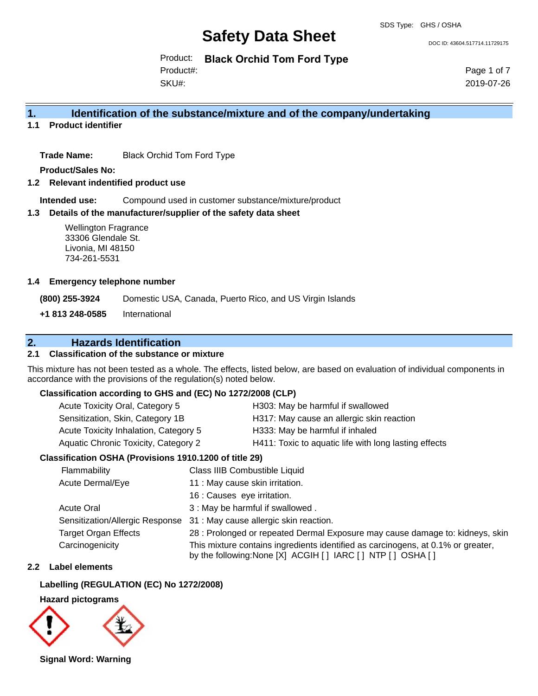DOC ID: 43604.517714.11729175

Product: **Black Orchid Tom Ford Type**

SKU#: Product#: Page 1 of 7 2019-07-26

### **1. Identification of the substance/mixture and of the company/undertaking**

**1.1 Product identifier**

**Trade Name:** Black Orchid Tom Ford Type

**Product/Sales No:**

**1.2 Relevant indentified product use**

**Intended use:** Compound used in customer substance/mixture/product

#### **1.3 Details of the manufacturer/supplier of the safety data sheet**

#### **1.4 Emergency telephone number**

### **2. Hazards Identification**

#### **2.1 Classification of the substance or mixture**

#### **Classification according to GHS and (EC) No 1272/2008 (CLP)**

| Acute Toxicity Oral, Category 5       | H303: May be harmful if swallowed                     |
|---------------------------------------|-------------------------------------------------------|
| Sensitization, Skin, Category 1B      | H317: May cause an allergic skin reaction             |
| Acute Toxicity Inhalation, Category 5 | H333: May be harmful if inhaled                       |
| Aquatic Chronic Toxicity, Category 2  | H411: Toxic to aquatic life with long lasting effects |
|                                       |                                                       |

#### **Classification OSHA (Provisions 1910.1200 of title 29)**

| <b>Wellington Fragrance</b><br>33306 Glendale St.<br>Livonia, MI 48150<br>734-261-5531 |                                 |                                                                                                                                                    |  |
|----------------------------------------------------------------------------------------|---------------------------------|----------------------------------------------------------------------------------------------------------------------------------------------------|--|
| <b>Emergency telephone number</b>                                                      |                                 |                                                                                                                                                    |  |
| (800) 255-3924                                                                         |                                 | Domestic USA, Canada, Puerto Rico, and US Virgin Islands                                                                                           |  |
| International<br>+1 813 248-0585                                                       |                                 |                                                                                                                                                    |  |
| <b>Hazards Identification</b>                                                          |                                 |                                                                                                                                                    |  |
| <b>Classification of the substance or mixture</b>                                      |                                 |                                                                                                                                                    |  |
| cordance with the provisions of the regulation(s) noted below.                         |                                 | s mixture has not been tested as a whole. The effects, listed below, are based on evaluation of individual components in                           |  |
| Classification according to GHS and (EC) No 1272/2008 (CLP)                            |                                 |                                                                                                                                                    |  |
| Acute Toxicity Oral, Category 5                                                        |                                 | H303: May be harmful if swallowed                                                                                                                  |  |
| Sensitization, Skin, Category 1B                                                       |                                 | H317: May cause an allergic skin reaction                                                                                                          |  |
| Acute Toxicity Inhalation, Category 5                                                  |                                 | H333: May be harmful if inhaled                                                                                                                    |  |
| Aquatic Chronic Toxicity, Category 2                                                   |                                 | H411: Toxic to aquatic life with long lasting effects                                                                                              |  |
| Classification OSHA (Provisions 1910.1200 of title 29)                                 |                                 |                                                                                                                                                    |  |
| Flammability                                                                           |                                 | Class IIIB Combustible Liquid                                                                                                                      |  |
| Acute Dermal/Eye                                                                       | 11 : May cause skin irritation. |                                                                                                                                                    |  |
|                                                                                        | 16 : Causes eye irritation.     |                                                                                                                                                    |  |
| <b>Acute Oral</b>                                                                      |                                 | 3 : May be harmful if swallowed.                                                                                                                   |  |
| Sensitization/Allergic Response                                                        |                                 | 31 : May cause allergic skin reaction.                                                                                                             |  |
| <b>Target Organ Effects</b>                                                            |                                 | 28 : Prolonged or repeated Dermal Exposure may cause damage to: kidneys, skin                                                                      |  |
| Carcinogenicity                                                                        |                                 | This mixture contains ingredients identified as carcinogens, at 0.1% or greater,<br>by the following: None [X] ACGIH [ ] IARC [ ] NTP [ ] OSHA [ ] |  |
| Label elements                                                                         |                                 |                                                                                                                                                    |  |
| Labelling (REGULATION (EC) No 1272/2008)                                               |                                 |                                                                                                                                                    |  |
| <b>Hazard pictograms</b>                                                               |                                 |                                                                                                                                                    |  |
| Signal Word: Warning                                                                   |                                 |                                                                                                                                                    |  |

#### **2.2 Label elements**

#### **Labelling (REGULATION (EC) No 1272/2008)**

#### **Hazard pictograms**

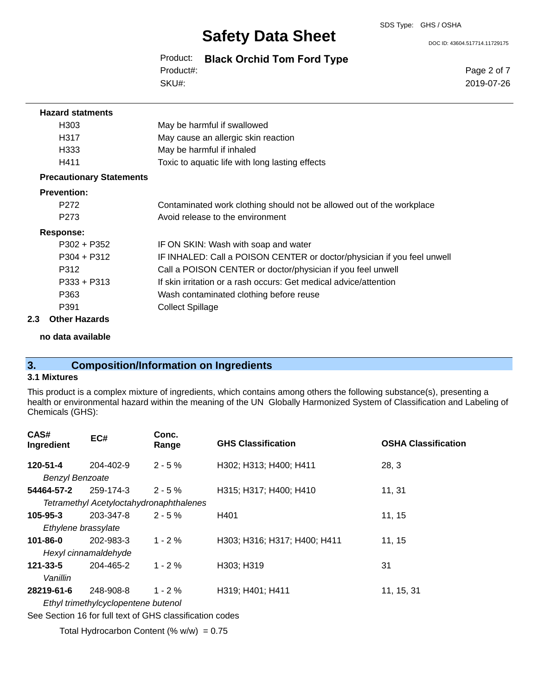DOC ID: 43604.517714.11729175

Product: **Black Orchid Tom Ford Type** SKU#: Product#:

Page 2 of 7 2019-07-26

| <b>Hazard statments</b>         |                                                                         |
|---------------------------------|-------------------------------------------------------------------------|
| H303                            | May be harmful if swallowed                                             |
| H317                            | May cause an allergic skin reaction                                     |
| H333                            | May be harmful if inhaled                                               |
| H411                            | Toxic to aquatic life with long lasting effects                         |
| <b>Precautionary Statements</b> |                                                                         |
| <b>Prevention:</b>              |                                                                         |
| P272                            | Contaminated work clothing should not be allowed out of the workplace   |
| P273                            | Avoid release to the environment                                        |
| Response:                       |                                                                         |
| $P302 + P352$                   | IF ON SKIN: Wash with soap and water                                    |
| $P304 + P312$                   | IF INHALED: Call a POISON CENTER or doctor/physician if you feel unwell |
| P312                            | Call a POISON CENTER or doctor/physician if you feel unwell             |
| $P333 + P313$                   | If skin irritation or a rash occurs: Get medical advice/attention       |
| P363                            | Wash contaminated clothing before reuse                                 |
| P391                            | <b>Collect Spillage</b>                                                 |

#### **2.3 Other Hazards**

**no data available**

## **3. Composition/Information on Ingredients**

### **3.1 Mixtures**

This product is a complex mixture of ingredients, which contains among others the following substance(s), presenting a health or environmental hazard within the meaning of the UN Globally Harmonized System of Classification and Labeling of Chemicals (GHS):

| CAS#<br>Ingredient     | EC#                                                        | Conc.<br>Range | <b>GHS Classification</b>    | <b>OSHA Classification</b> |
|------------------------|------------------------------------------------------------|----------------|------------------------------|----------------------------|
| 120-51-4               | 204-402-9                                                  | $2 - 5%$       | H302; H313; H400; H411       | 28, 3                      |
| <b>Benzyl Benzoate</b> |                                                            |                |                              |                            |
| 54464-57-2             | 259-174-3                                                  | $2 - 5%$       | H315; H317; H400; H410       | 11, 31                     |
|                        | Tetramethyl Acetyloctahydronaphthalenes                    |                |                              |                            |
| $105 - 95 - 3$         | 203-347-8                                                  | $2 - 5%$       | H401                         | 11, 15                     |
|                        | Ethylene brassylate                                        |                |                              |                            |
| $101 - 86 - 0$         | 202-983-3                                                  | $1 - 2%$       | H303; H316; H317; H400; H411 | 11, 15                     |
|                        | Hexyl cinnamaldehyde                                       |                |                              |                            |
| $121 - 33 - 5$         | 204-465-2                                                  | $1 - 2 \%$     | H303; H319                   | 31                         |
| Vanillin               |                                                            |                |                              |                            |
| 28219-61-6             | 248-908-8                                                  | $1 - 2%$       | H319; H401; H411             | 11, 15, 31                 |
|                        | Ethyl trimethylcyclopentene butenol                        |                |                              |                            |
|                        | Can Continue 40 feet full tout of CUC plannification pages |                |                              |                            |

See Section 16 for full text of GHS classification codes

Total Hydrocarbon Content (%  $w/w$ ) = 0.75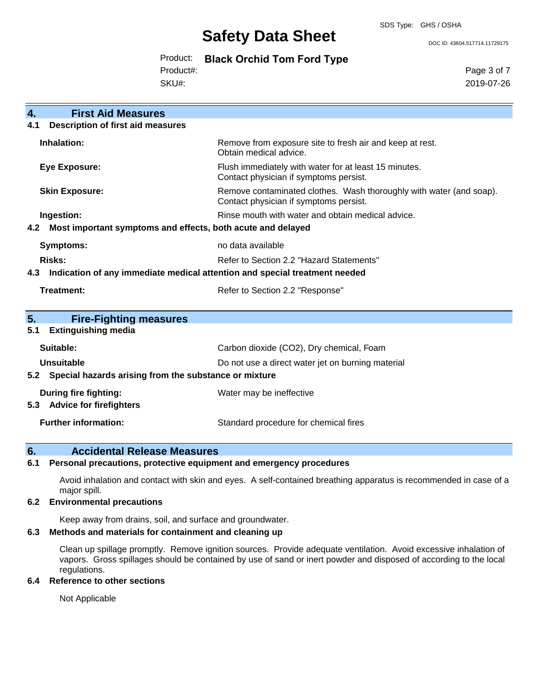#### SDS Type: GHS / OSHA

## **Safety Data Sheet**

DOC ID: 43604.517714.11729175

|           | Product: Black Orchid Tom Ford Type |  |
|-----------|-------------------------------------|--|
| Product#: |                                     |  |

SKU#:

Page 3 of 7 2019-07-26

| 4.  | <b>First Aid Measures</b>                                                  |                                                                                                               |  |
|-----|----------------------------------------------------------------------------|---------------------------------------------------------------------------------------------------------------|--|
| 4.1 | <b>Description of first aid measures</b>                                   |                                                                                                               |  |
|     | Inhalation:                                                                | Remove from exposure site to fresh air and keep at rest.<br>Obtain medical advice.                            |  |
|     | <b>Eye Exposure:</b>                                                       | Flush immediately with water for at least 15 minutes.<br>Contact physician if symptoms persist.               |  |
|     | <b>Skin Exposure:</b>                                                      | Remove contaminated clothes. Wash thoroughly with water (and soap).<br>Contact physician if symptoms persist. |  |
|     | Ingestion:                                                                 | Rinse mouth with water and obtain medical advice.                                                             |  |
| 4.2 | Most important symptoms and effects, both acute and delayed                |                                                                                                               |  |
|     | <b>Symptoms:</b>                                                           | no data available                                                                                             |  |
|     | Risks:                                                                     | Refer to Section 2.2 "Hazard Statements"                                                                      |  |
| 4.3 | Indication of any immediate medical attention and special treatment needed |                                                                                                               |  |
|     | Treatment:                                                                 | Refer to Section 2.2 "Response"                                                                               |  |
|     |                                                                            |                                                                                                               |  |
| 5.  | <b>Fire-Fighting measures</b>                                              |                                                                                                               |  |
| 5.1 | <b>Extinguishing media</b>                                                 |                                                                                                               |  |
|     | Suitable:                                                                  | Carbon dioxide (CO2), Dry chemical, Foam                                                                      |  |
|     | <b>Unsuitable</b>                                                          | Do not use a direct water jet on burning material                                                             |  |
|     | 5.2 Special hazards arising from the substance or mixture                  |                                                                                                               |  |
|     | During fire fighting:                                                      | Water may be ineffective                                                                                      |  |
| 5.3 | <b>Advice for firefighters</b>                                             |                                                                                                               |  |
|     | <b>Further information:</b>                                                | Standard procedure for chemical fires                                                                         |  |

### **6. Accidental Release Measures**

**6.1 Personal precautions, protective equipment and emergency procedures**

Avoid inhalation and contact with skin and eyes. A self-contained breathing apparatus is recommended in case of a major spill.

#### **6.2 Environmental precautions**

Keep away from drains, soil, and surface and groundwater.

#### **6.3 Methods and materials for containment and cleaning up**

Clean up spillage promptly. Remove ignition sources. Provide adequate ventilation. Avoid excessive inhalation of vapors. Gross spillages should be contained by use of sand or inert powder and disposed of according to the local regulations.

#### **6.4 Reference to other sections**

Not Applicable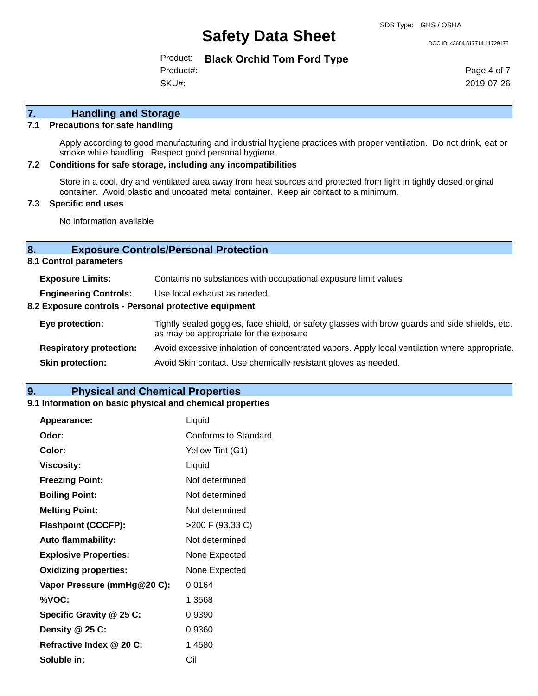DOC ID: 43604.517714.11729175

Product: **Black Orchid Tom Ford Type** Product#:

SKU#:

Page 4 of 7 2019-07-26

## **7. Handling and Storage**

#### **7.1 Precautions for safe handling**

Apply according to good manufacturing and industrial hygiene practices with proper ventilation. Do not drink, eat or smoke while handling. Respect good personal hygiene.

#### **7.2 Conditions for safe storage, including any incompatibilities**

Store in a cool, dry and ventilated area away from heat sources and protected from light in tightly closed original container. Avoid plastic and uncoated metal container. Keep air contact to a minimum.

#### **7.3 Specific end uses**

No information available

#### **8. Exposure Controls/Personal Protection**

**8.1 Control parameters**

| <b>Exposure Limits:</b>                                                               | Contains no substances with occupational exposure limit values                                                                           |
|---------------------------------------------------------------------------------------|------------------------------------------------------------------------------------------------------------------------------------------|
| <b>Engineering Controls:</b><br>8.2 Exposure controls - Personal protective equipment | Use local exhaust as needed.                                                                                                             |
| Eye protection:                                                                       | Tightly sealed goggles, face shield, or safety glasses with brow guards and side shields, etc.<br>as may be appropriate for the exposure |
| <b>Respiratory protection:</b>                                                        | Avoid excessive inhalation of concentrated vapors. Apply local ventilation where appropriate.                                            |
| <b>Skin protection:</b>                                                               | Avoid Skin contact. Use chemically resistant gloves as needed.                                                                           |

#### **9. Physical and Chemical Properties**

#### **9.1 Information on basic physical and chemical properties**

| Appearance:                  | Liquid               |
|------------------------------|----------------------|
| Odor:                        | Conforms to Standard |
| Color:                       | Yellow Tint (G1)     |
| <b>Viscosity:</b>            | Liquid               |
| <b>Freezing Point:</b>       | Not determined       |
| <b>Boiling Point:</b>        | Not determined       |
| <b>Melting Point:</b>        | Not determined       |
| <b>Flashpoint (CCCFP):</b>   | >200 F (93.33 C)     |
| <b>Auto flammability:</b>    | Not determined       |
| <b>Explosive Properties:</b> | None Expected        |
| <b>Oxidizing properties:</b> | None Expected        |
| Vapor Pressure (mmHg@20 C):  | 0.0164               |
| %VOC:                        | 1.3568               |
| Specific Gravity @ 25 C:     | 0.9390               |
| Density @ 25 C:              | 0.9360               |
| Refractive Index @ 20 C:     | 1.4580               |
| Soluble in:                  | Oil                  |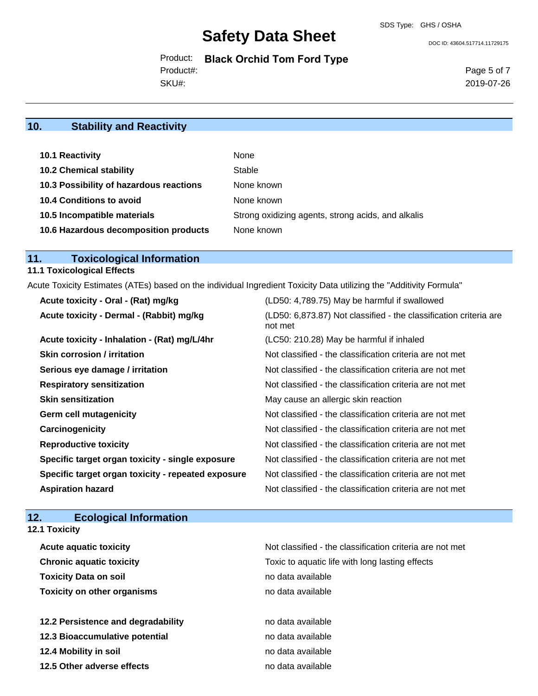DOC ID: 43604.517714.11729175

Product: **Black Orchid Tom Ford Type** SKU#: Product#:

Page 5 of 7 2019-07-26

## **10. Stability and Reactivity**

| 10.1 Reactivity                         | None                                               |
|-----------------------------------------|----------------------------------------------------|
| <b>10.2 Chemical stability</b>          | Stable                                             |
| 10.3 Possibility of hazardous reactions | None known                                         |
| <b>10.4 Conditions to avoid</b>         | None known                                         |
| 10.5 Incompatible materials             | Strong oxidizing agents, strong acids, and alkalis |
| 10.6 Hazardous decomposition products   | None known                                         |

## **11. Toxicological Information**

### **11.1 Toxicological Effects**

Acute Toxicity Estimates (ATEs) based on the individual Ingredient Toxicity Data utilizing the "Additivity Formula"

| Acute toxicity - Oral - (Rat) mg/kg                | (LD50: 4,789.75) May be harmful if swallowed                                 |
|----------------------------------------------------|------------------------------------------------------------------------------|
| Acute toxicity - Dermal - (Rabbit) mg/kg           | (LD50: 6,873.87) Not classified - the classification criteria are<br>not met |
| Acute toxicity - Inhalation - (Rat) mg/L/4hr       | (LC50: 210.28) May be harmful if inhaled                                     |
| <b>Skin corrosion / irritation</b>                 | Not classified - the classification criteria are not met                     |
| Serious eye damage / irritation                    | Not classified - the classification criteria are not met                     |
| <b>Respiratory sensitization</b>                   | Not classified - the classification criteria are not met                     |
| <b>Skin sensitization</b>                          | May cause an allergic skin reaction                                          |
| <b>Germ cell mutagenicity</b>                      | Not classified - the classification criteria are not met                     |
| Carcinogenicity                                    | Not classified - the classification criteria are not met                     |
| <b>Reproductive toxicity</b>                       | Not classified - the classification criteria are not met                     |
| Specific target organ toxicity - single exposure   | Not classified - the classification criteria are not met                     |
| Specific target organ toxicity - repeated exposure | Not classified - the classification criteria are not met                     |
| <b>Aspiration hazard</b>                           | Not classified - the classification criteria are not met                     |

## **12. Ecological Information**

| Not classified - the classification criteria are not met |
|----------------------------------------------------------|
| Toxic to aquatic life with long lasting effects          |
| no data available                                        |
| no data available                                        |
| no data available                                        |
| no data available                                        |
| no data available                                        |
| no data available                                        |
|                                                          |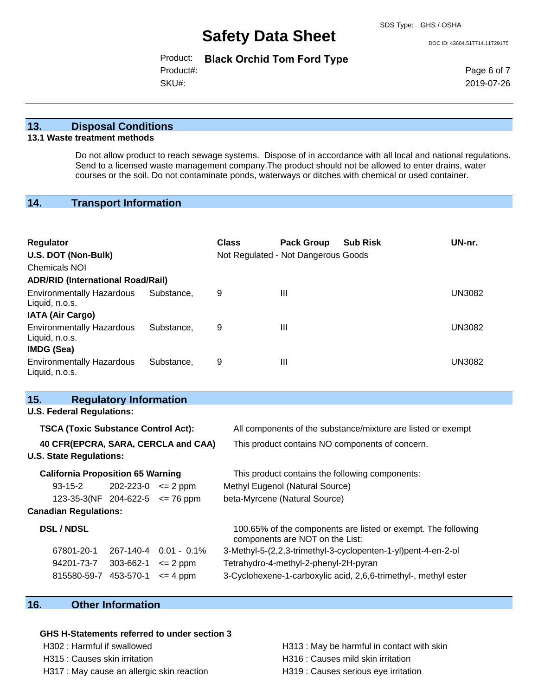DOC ID: 43604.517714.11729175

|           | Product: Black Orchid Tom Ford Type |  |
|-----------|-------------------------------------|--|
| Product#: |                                     |  |
| SKU#:     |                                     |  |

Page 6 of 7 2019-07-26

#### **13. Disposal Conditions**

#### **13.1 Waste treatment methods**

Do not allow product to reach sewage systems. Dispose of in accordance with all local and national regulations. Send to a licensed waste management company.The product should not be allowed to enter drains, water courses or the soil. Do not contaminate ponds, waterways or ditches with chemical or used container.

## **14. Transport Information**

| Regulator<br>U.S. DOT (Non-Bulk)                                 |            | <b>Class</b> | <b>Pack Group</b><br>Not Regulated - Not Dangerous Goods | <b>Sub Risk</b> | UN-nr.        |
|------------------------------------------------------------------|------------|--------------|----------------------------------------------------------|-----------------|---------------|
| Chemicals NOI                                                    |            |              |                                                          |                 |               |
| <b>ADR/RID (International Road/Rail)</b>                         |            |              |                                                          |                 |               |
| <b>Environmentally Hazardous</b><br>Liquid, n.o.s.               | Substance, | 9            | $\mathbf{III}$                                           |                 | <b>UN3082</b> |
| <b>IATA (Air Cargo)</b>                                          |            |              |                                                          |                 |               |
| <b>Environmentally Hazardous</b><br>Liquid, n.o.s.<br>IMDG (Sea) | Substance. | 9            | $\mathbf{III}$                                           |                 | <b>UN3082</b> |
| <b>Environmentally Hazardous</b><br>Liquid, n.o.s.               | Substance. | 9            | $\mathbf{III}$                                           |                 | <b>UN3082</b> |

## **15. Regulatory Information**

### **U.S. Federal Regulations:**

| <b>TSCA (Toxic Substance Control Act):</b><br>40 CFR(EPCRA, SARA, CERCLA and CAA)<br><b>U.S. State Regulations:</b> |           |                     | All components of the substance/mixture are listed or exempt<br>This product contains NO components of concern. |  |  |  |
|---------------------------------------------------------------------------------------------------------------------|-----------|---------------------|-----------------------------------------------------------------------------------------------------------------|--|--|--|
| <b>California Proposition 65 Warning</b>                                                                            |           |                     | This product contains the following components:                                                                 |  |  |  |
| $93 - 15 - 2$                                                                                                       | 202-223-0 | $\leq$ 2 ppm        | Methyl Eugenol (Natural Source)                                                                                 |  |  |  |
| 123-35-3(NF 204-622-5                                                                                               |           | $\epsilon$ = 76 ppm | beta-Myrcene (Natural Source)                                                                                   |  |  |  |
| <b>Canadian Regulations:</b>                                                                                        |           |                     |                                                                                                                 |  |  |  |
| <b>DSL / NDSL</b>                                                                                                   |           |                     | 100.65% of the components are listed or exempt. The following<br>components are NOT on the List:                |  |  |  |
| 67801-20-1                                                                                                          | 267-140-4 | $0.01 - 0.1\%$      | 3-Methyl-5-(2,2,3-trimethyl-3-cyclopenten-1-yl)pent-4-en-2-ol                                                   |  |  |  |
| 94201-73-7                                                                                                          | 303-662-1 | $\leq$ 2 ppm        | Tetrahydro-4-methyl-2-phenyl-2H-pyran                                                                           |  |  |  |
| 815580-59-7                                                                                                         | 453-570-1 | $\leq$ 4 ppm        | 3-Cyclohexene-1-carboxylic acid, 2,6,6-trimethyl-, methyl ester                                                 |  |  |  |

### **16. Other Information**

#### **GHS H-Statements referred to under section 3**

H302 : Harmful if swallowed **H313** : May be harmful in contact with skin H315 : Causes skin irritation et al. (a) H316 : Causes mild skin irritation H317 : May cause an allergic skin reaction H319 : Causes serious eye irritation